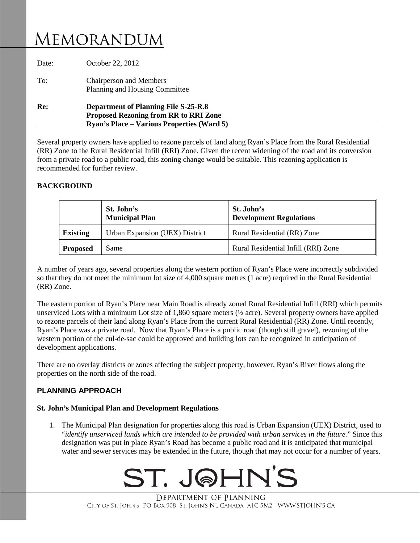# Memorandum

| Planning and Housing Committee |
|--------------------------------|
|                                |

Several property owners have applied to rezone parcels of land along Ryan's Place from the Rural Residential (RR) Zone to the Rural Residential Infill (RRI) Zone. Given the recent widening of the road and its conversion from a private road to a public road, this zoning change would be suitable. This rezoning application is recommended for further review.

## **BACKGROUND**

|                 | St. John's<br><b>Municipal Plan</b> | St. John's<br><b>Development Regulations</b> |
|-----------------|-------------------------------------|----------------------------------------------|
| <b>Existing</b> | Urban Expansion (UEX) District      | Rural Residential (RR) Zone                  |
| <b>Proposed</b> | Same                                | Rural Residential Infill (RRI) Zone          |

A number of years ago, several properties along the western portion of Ryan's Place were incorrectly subdivided so that they do not meet the minimum lot size of 4,000 square metres (1 acre) required in the Rural Residential (RR) Zone.

The eastern portion of Ryan's Place near Main Road is already zoned Rural Residential Infill (RRI) which permits unserviced Lots with a minimum Lot size of 1,860 square meters (½ acre). Several property owners have applied to rezone parcels of their land along Ryan's Place from the current Rural Residential (RR) Zone. Until recently, Ryan's Place was a private road. Now that Ryan's Place is a public road (though still gravel), rezoning of the western portion of the cul-de-sac could be approved and building lots can be recognized in anticipation of development applications.

There are no overlay districts or zones affecting the subject property, however, Ryan's River flows along the properties on the north side of the road.

# **PLANNING APPROACH**

#### **St. John's Municipal Plan and Development Regulations**

1. The Municipal Plan designation for properties along this road is Urban Expansion (UEX) District, used to "*identify unserviced lands which are intended to be provided with urban services in the future.*" Since this designation was put in place Ryan's Road has become a public road and it is anticipated that municipal water and sewer services may be extended in the future, though that may not occur for a number of years.



DEPARTMENT OF PLANNING CITY OF ST. JOHN'S PO BOX 908 ST. JOHN'S NL CANADA A1C 5M2 WWW.STJOHN'S.CA